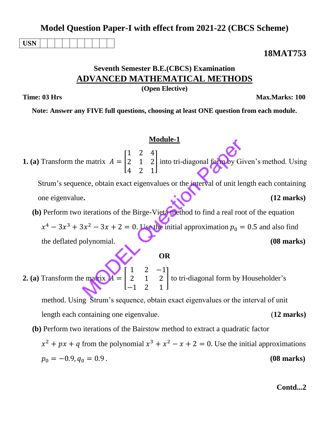|                                                                                                                                            | (Open Elective)                                                                                                                                          |
|--------------------------------------------------------------------------------------------------------------------------------------------|----------------------------------------------------------------------------------------------------------------------------------------------------------|
| Time: 03 Hrs                                                                                                                               | Max.Marks: 100                                                                                                                                           |
|                                                                                                                                            | Note: Answer any FIVE full questions, choosing at least ONE question from each module.                                                                   |
|                                                                                                                                            |                                                                                                                                                          |
|                                                                                                                                            | <b>Module-1</b>                                                                                                                                          |
|                                                                                                                                            | <b>1. (a)</b> Transform the matrix $A = \begin{bmatrix} 1 & 2 & 4 \ 2 & 1 & 2 \ 4 & 2 & 1 \end{bmatrix}$ into tri-diagonal form by Given's method. Using |
|                                                                                                                                            | Strum's sequence, obtain exact eigenvalues or the interval of unit length each containing                                                                |
| one eigenvalue.                                                                                                                            | $(12 \text{ marks})$                                                                                                                                     |
|                                                                                                                                            | (b) Perform two iterations of the Birge-Vieta method to find a real root of the equation                                                                 |
|                                                                                                                                            | $x^4 - 3x^3 + 3x^2 - 3x + 2 = 0$ . Use the initial approximation $p_0 = 0.5$ and also find                                                               |
| the deflated polynomial.                                                                                                                   | $(08$ marks)                                                                                                                                             |
|                                                                                                                                            | <b>OR</b>                                                                                                                                                |
| 2. (a) Transform the matrix $A = \begin{bmatrix} 1 & 2 & -1 \\ 2 & 1 & 2 \\ 1 & 2 & 1 \end{bmatrix}$ to tri-diagonal form by Householder's |                                                                                                                                                          |
|                                                                                                                                            | method. Using Strum's sequence, obtain exact eigenvalues or the interval of unit                                                                         |
| length each containing one eigenvalue.                                                                                                     | $(12$ marks)                                                                                                                                             |
| (b) Perform two iterations of the Bairstow method to extract a quadratic factor                                                            |                                                                                                                                                          |
|                                                                                                                                            | $x^2 + px + q$ from the polynomial $x^3 + x^2 - x + 2 = 0$ . Use the initial approximations                                                              |
| $p_0 = -0.9, q_0 = 0.9$ .                                                                                                                  | $(08 \text{ marks})$                                                                                                                                     |
|                                                                                                                                            |                                                                                                                                                          |
|                                                                                                                                            | Contd2                                                                                                                                                   |

**Model Question Paper-I with effect from 2021-22 (CBCS Scheme)**

**Seventh Semester B.E.(CBCS) Examination ADVANCED MATHEMATICAL METHODS**

**USN**

**18MAT753**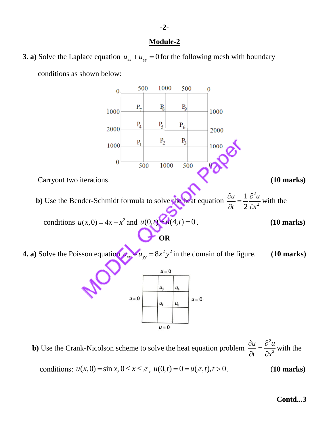# **Module-2**

**3. a)** Solve the Laplace equation  $u_{xx} + u_{yy} = 0$  for the following mesh with boundary



**b**) Use the Crank-Nicolson scheme to solve the heat equation problem 2 2  $u \partial^2 u$ *t x*  $\frac{\partial u}{\partial t} = \frac{\partial^2 u}{\partial x^2}$  $\partial t$   $\partial x$ with the

conditions:  $u(x, 0) = \sin x, 0 \le x \le \pi$ ,  $u(0,t) = 0 = u(\pi, t), t > 0$ . (10 marks)

## **Contd...3**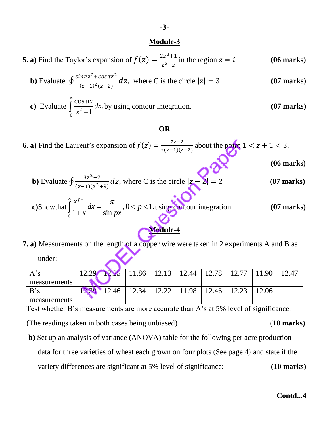## **Module-3**

**5. a)** Find the Taylor's expansion of  $f(z) = \frac{2z^3}{z^2}$  $\frac{12}{z^2+z}$  in the region  $z = i$ . (**06 marks**)

**b)** Evaluate 
$$
\oint \frac{\sin \pi z^2 + \cos \pi z^2}{(z-1)^2 (z-2)} dz
$$
, where C is the circle  $|z| = 3$  (07 marks)

c) Evaluate 
$$
\int_{0}^{\infty} \frac{\cos ax}{x^2 + 1} dx
$$
 by using contour integration. (07 marks)

## **OR**

**6. a)** Find the Laurent's expansion of  $f(z) = \frac{7}{z(z)}$  $\frac{z^{2}-2}{z(z+1)(z-2)}$  about the point  $1 < z + 1 < 3$ .

 **(06 marks)**

**b)** Evaluate 
$$
\oint \frac{3z^2+2}{(z-1)(z^2+9)} dz
$$
, where C is the circle  $|z-2| = 2$  (07 marks)

c)Show that 
$$
\int_{0}^{\infty} \frac{x^{p-1}}{1+x} dx = \frac{\pi}{\sin px}, 0 < p < 1
$$
 using contour integration. (07 marks)

# **Module-4**

**7. a)** Measurements on the length of a copper wire were taken in 2 experiments A and B as under:

| $A$ 's       | ЮF   | 11.86 | 12.13           | $12.44$   12.78 |       | 1.90  | 2.47 |
|--------------|------|-------|-----------------|-----------------|-------|-------|------|
| measurements |      |       |                 |                 |       |       |      |
| B's          | 2.46 | 12.34 | $12.22$   11.98 |                 | 12.46 | .2.06 |      |
| measurements |      |       |                 |                 |       |       |      |

Test whether B's measurements are more accurate than A's at 5% level of significance.

(The readings taken in both cases being unbiased) (**10 marks)**

 **b)** Set up an analysis of variance (ANOVA) table for the following per acre production data for three varieties of wheat each grown on four plots (See page 4) and state if the

variety differences are significant at 5% level of significance: (**10 marks)**

**Contd...4**

### **-3-**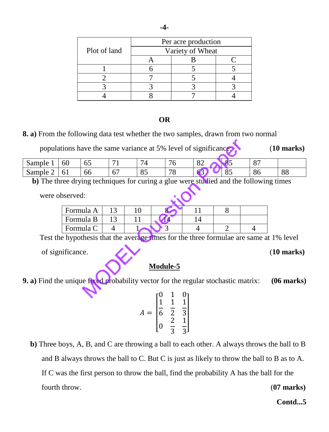|              | Per acre production |  |  |  |  |  |
|--------------|---------------------|--|--|--|--|--|
| Plot of land | Variety of Wheat    |  |  |  |  |  |
|              |                     |  |  |  |  |  |
|              |                     |  |  |  |  |  |
|              |                     |  |  |  |  |  |
|              |                     |  |  |  |  |  |
|              |                     |  |  |  |  |  |

# **OR**

**8. a)** From the following data test whether the two samples, drawn from two normal

populations have the same variance at 5% level of significance: (**10 marks)**

|                                                                       | `ample<br>ື | 60<br>υJ |                          | $\prime$ 1        | ╰      | $\Omega$<br>◡▵ | o.     | $\Omega$<br>$\mathbf{\mathsf{v}}$ |                            |
|-----------------------------------------------------------------------|-------------|----------|--------------------------|-------------------|--------|----------------|--------|-----------------------------------|----------------------------|
| Sample<br>86<br>ხხ<br>0 <sub>1</sub><br>∪<br>$\sigma$<br>ັບ<br>"<br>J | -           |          | $\overline{\phantom{a}}$ | $\Omega$ $\Gamma$ | $\neg$ |                | $\sim$ |                                   | $\overline{O}$<br>$\infty$ |

 **b)** The three drying techniques for curing a glue were studied and the following times

were observed:

| Formula A |  |  |  |
|-----------|--|--|--|
| Formula B |  |  |  |
| Formula C |  |  |  |

Test the hypothesis that the average times for the three formulae are same at 1% level

of significance. (**10 marks)**

# **Module-5**

**9. a)** Find the unique fixed probability vector for the regular stochastic matrix: **(06 marks)**

$$
A = \begin{bmatrix} 0 & 1 & 0 \\ \frac{1}{6} & \frac{1}{2} & \frac{1}{3} \\ 0 & \frac{2}{3} & \frac{1}{3} \end{bmatrix}
$$

 **b)** Three boys, A, B, and C are throwing a ball to each other. A always throws the ball to B and B always throws the ball to C. But C is just as likely to throw the ball to B as to A. If C was the first person to throw the ball, find the probability A has the ball for the fourth throw. (**07 marks)** 

**Contd...5**